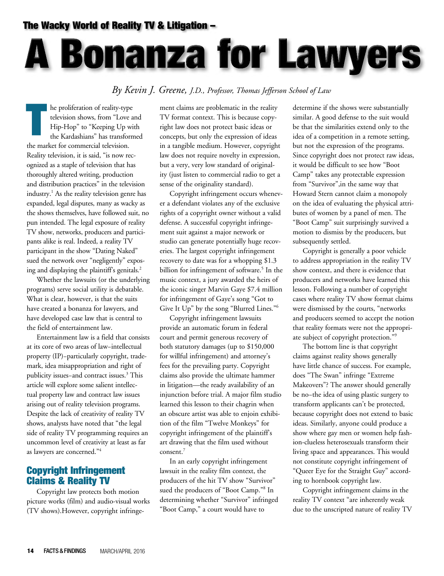#### The Wacky World of Reality TV & Litigation –

# **A Bonanza for Lawyers**

#### *By Kevin J. Greene, J.D., Professor, Thomas Jefferson School of Law*

he proliferation of reality-type television shows, from "Love and Hip-Hop" to "Keeping Up with the Kardashians" has transformed the market for commercial television. Reality television, it is said, "is now recognized as a staple of television that has thoroughly altered writing, production and distribution practices" in the television industry.<sup>1</sup> As the reality television genre has expanded, legal disputes, many as wacky as the shows themselves, have followed suit, no pun intended. The legal exposure of reality TV show, networks, producers and participants alike is real. Indeed, a reality TV participant in the show "Dating Naked" sued the network over "negligently" exposing and displaying the plaintiff's genitals. $<sup>2</sup>$ </sup>

Whether the lawsuits (or the underlying programs) serve social utility is debatable. What is clear, however, is that the suits have created a bonanza for lawyers, and have developed case law that is central to the field of entertainment law.

Entertainment law is a field that consists at its core of two areas of law−intellectual property (IP)−particularly copyright, trademark, idea misappropriation and right of publicity issues-and contract issues.<sup>3</sup> This article will explore some salient intellectual property law and contract law issues arising out of reality television programs. Despite the lack of creativity of reality TV shows, analysts have noted that "the legal side of reality TV programming requires an uncommon level of creativity at least as far as lawyers are concerned."4

#### Copyright Infringement Claims & Reality TV

Copyright law protects both motion picture works (film) and audio-visual works (TV shows).However, copyright infringement claims are problematic in the reality TV format context. This is because copyright law does not protect basic ideas or concepts, but only the expression of ideas in a tangible medium. However, copyright law does not require novelty in expression, but a very, very low standard of originality (just listen to commercial radio to get a sense of the originality standard).

Copyright infringement occurs whenever a defendant violates any of the exclusive rights of a copyright owner without a valid defense. A successful copyright infringement suit against a major network or studio can generate potentially huge recoveries. The largest copyright infringement recovery to date was for a whopping \$1.3 billion for infringement of software.<sup>5</sup> In the music context, a jury awarded the heirs of the iconic singer Marvin Gaye \$7.4 million for infringement of Gaye's song "Got to Give It Up" by the song "Blurred Lines."<sup>6</sup>

Copyright infringement lawsuits provide an automatic forum in federal court and permit generous recovery of both statutory damages (up to \$150,000 for willful infringement) and attorney's fees for the prevailing party. Copyright claims also provide the ultimate hammer in litigation—the ready availability of an injunction before trial. A major film studio learned this lesson to their chagrin when an obscure artist was able to enjoin exhibition of the film "Twelve Monkeys" for copyright infringement of the plaintiff's art drawing that the film used without consent.7

In an early copyright infringement lawsuit in the reality film context, the producers of the hit TV show "Survivor" sued the producers of "Boot Camp."8 In determining whether "Survivor" infringed "Boot Camp," a court would have to

determine if the shows were substantially similar. A good defense to the suit would be that the similarities extend only to the idea of a competition in a remote setting, but not the expression of the programs. Since copyright does not protect raw ideas, it would be difficult to see how "Boot Camp" takes any protectable expression from "Survivor",in the same way that Howard Stern cannot claim a monopoly on the idea of evaluating the physical attributes of women by a panel of men. The "Boot Camp" suit surprisingly survived a motion to dismiss by the producers, but subsequently settled.

Copyright is generally a poor vehicle to address appropriation in the reality TV show context, and there is evidence that producers and networks have learned this lesson. Following a number of copyright cases where reality TV show format claims were dismissed by the courts, "networks and producers seemed to accept the notion that reality formats were not the appropriate subject of copyright protection."9

The bottom line is that copyright claims against reality shows generally have little chance of success. For example, does "The Swan" infringe "Extreme Makeovers"? The answer should generally be no−the idea of using plastic surgery to transform applicants can't be protected, because copyright does not extend to basic ideas. Similarly, anyone could produce a show where gay men or women help fashion-clueless heterosexuals transform their living space and appearances. This would not constitute copyright infringement of "Queer Eye for the Straight Guy" according to hornbook copyright law.

Copyright infringement claims in the reality TV context "are inherently weak due to the unscripted nature of reality TV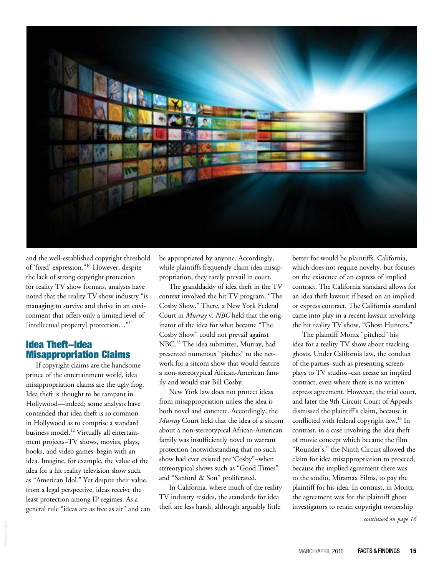

and the well-established copyright threshold of 'fixed' expression."10 However, despite the lack of strong copyright protection for reality TV show formats, analysts have noted that the reality TV show industry "is managing to survive and thrive in an environment that offers only a limited level of [intellectual property] protection..."<sup>11</sup>

#### Idea Theft−Idea Misappropriation Claims

If copyright claims are the handsome prince of the entertainment world, idea misappropriation claims are the ugly frog. Idea theft is thought to be rampant in Hollywood—indeed; some analysts have contended that idea theft is so common in Hollywood as to comprise a standard business model.<sup>12</sup> Virtually all entertainment projects−TV shows, movies, plays, books, and video games−begin with an idea. Imagine, for example, the value of the idea for a hit reality television show such as "American Idol." Yet despite their value, from a legal perspective, ideas receive the least protection among IP regimes. As a general rule "ideas are as free as air" and can be appropriated by anyone. Accordingly, while plaintiffs frequently claim idea misappropriation, they rarely prevail in court.

The granddaddy of idea theft in the TV context involved the hit TV program, "The Cosby Show." There, a New York Federal Court in *Murray* v. *NBC* held that the originator of the idea for what became "The Cosby Show" could not prevail against NBC.13 The idea submitter, Murray, had presented numerous "pitches" to the network for a sitcom show that would feature a non-stereotypical African-American family and would star Bill Cosby.

New York law does not protect ideas from misappropriation unless the idea is both novel and concrete. Accordingly, the *Murray* Court held that the idea of a sitcom about a non-stereotypical African-American family was insufficiently novel to warrant protection (notwithstanding that no such show had ever existed pre"Cosby"−when stereotypical shows such as "Good Times" and "Sanford & Son" proliferated.

In California, where much of the reality TV industry resides, the standards for idea theft are less harsh, although arguably little

better for would be plaintiffs. California, which does not require novelty, but focuses on the existence of an express of implied contract. The California standard allows for an idea theft lawsuit if based on an implied or express contract. The California standard came into play in a recent lawsuit involving the hit reality TV show, "Ghost Hunters."

The plaintiff Montz "pitched" his idea for a reality TV show about tracking ghosts. Under California law, the conduct of the parties−such as presenting screenplays to TV studios−can create an implied contract, even where there is no written express agreement. However, the trial court, and later the 9th Circuit Court of Appeals dismissed the plaintiff's claim, because it conflicted with federal copyright law.<sup>14</sup> In contrast, in a case involving the idea theft of movie concept which became the film "Rounder's," the Ninth Circuit allowed the claim for idea misappropriation to proceed, because the implied agreement there was to the studio, Miramax Films, to pay the plaintiff for his idea. In contrast, in Montz, the agreement was for the plaintiff ghost investigators to retain copyright ownership

*continued on page 16*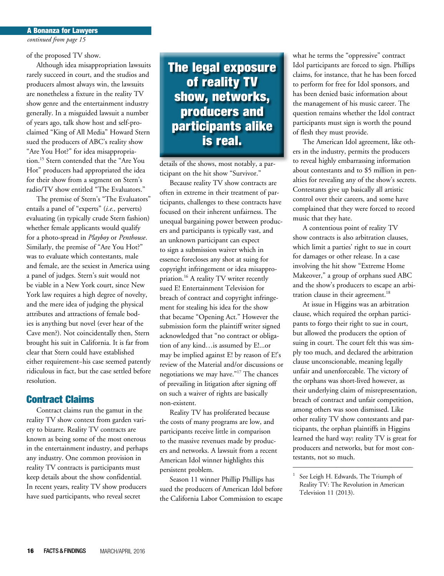#### *continued from page 15* A Bonanza for Lawyers

of the proposed TV show.

Although idea misappropriation lawsuits rarely succeed in court, and the studios and producers almost always win, the lawsuits are nonetheless a fixture in the reality TV show genre and the entertainment industry generally. In a misguided lawsuit a number of years ago, talk show host and self-proclaimed "King of All Media" Howard Stern sued the producers of ABC's reality show "Are You Hot?" for idea misappropriation.15 Stern contended that the "Are You Hot" producers had appropriated the idea for their show from a segment on Stern's radio/TV show entitled "The Evaluators."

The premise of Stern's "The Evaluators" entails a panel of "experts" (*i.e.,* perverts) evaluating (in typically crude Stern fashion) whether female applicants would qualify for a photo-spread in *Playboy* or *Penthouse*. Similarly, the premise of "Are You Hot?" was to evaluate which contestants, male and female, are the sexiest in America using a panel of judges. Stern's suit would not be viable in a New York court, since New York law requires a high degree of novelty, and the mere idea of judging the physical attributes and attractions of female bodies is anything but novel (ever hear of the Cave men?). Not coincidentally then, Stern brought his suit in California. It is far from clear that Stern could have established either requirement−his case seemed patently ridiculous in fact, but the case settled before resolution.

#### Contract Claims

Contract claims run the gamut in the reality TV show context from garden variety to bizarre. Reality TV contracts are known as being some of the most onerous in the entertainment industry, and perhaps any industry. One common provision in reality TV contracts is participants must keep details about the show confidential. In recent years, reality TV show producers have sued participants, who reveal secret

The legal exposure of reality TV show, networks, producers and participants alike is real.

details of the shows, most notably, a participant on the hit show "Survivor."

Because reality TV show contracts are often in extreme in their treatment of participants, challenges to these contracts have focused on their inherent unfairness. The unequal bargaining power between producers and participants is typically vast, and an unknown participant can expect to sign a submission waiver which in essence forecloses any shot at suing for copyright infringement or idea misappropriation.<sup>16</sup> A reality TV writer recently sued E! Entertainment Television for breach of contract and copyright infringement for stealing his idea for the show that became "Opening Act." However the submission form the plaintiff writer signed acknowledged that "no contract or obligation of any kind…is assumed by E!...or may be implied against E! by reason of E!'s review of the Material and/or discussions or negotiations we may have."17 The chances of prevailing in litigation after signing off on such a waiver of rights are basically non-existent.

Reality TV has proliferated because the costs of many programs are low, and participants receive little in comparison to the massive revenues made by producers and networks. A lawsuit from a recent American Idol winner highlights this persistent problem.

Season 11 winner Phillip Phillips has sued the producers of American Idol before the California Labor Commission to escape what he terms the "oppressive" contract Idol participants are forced to sign. Phillips claims, for instance, that he has been forced to perform for free for Idol sponsors, and has been denied basic information about the management of his music career. The question remains whether the Idol contract participants must sign is worth the pound of flesh they must provide.

The American Idol agreement, like others in the industry, permits the producers to reveal highly embarrassing information about contestants and to \$5 million in penalties for revealing any of the show's secrets. Contestants give up basically all artistic control over their careers, and some have complained that they were forced to record music that they hate.

A contentious point of reality TV show contracts is also arbitration clauses, which limit a parties' right to sue in court for damages or other release. In a case involving the hit show "Extreme Home Makeover," a group of orphans sued ABC and the show's producers to escape an arbitration clause in their agreement.<sup>18</sup>

At issue in Higgins was an arbitration clause, which required the orphan participants to forgo their right to sue in court, but allowed the producers the option of suing in court. The court felt this was simply too much, and declared the arbitration clause unconscionable, meaning legally unfair and unenforceable. The victory of the orphans was short-lived however, as their underlying claim of misrepresentation, breach of contract and unfair competition, among others was soon dismissed. Like other reality TV show contestants and participants, the orphan plaintiffs in Higgins learned the hard way: reality TV is great for producers and networks, but for most contestants, not so much.

–––––––––––––––––––––––––––––––––

See Leigh H. Edwards, The Triumph of Reality TV: The Revolution in American Television 11 (2013).